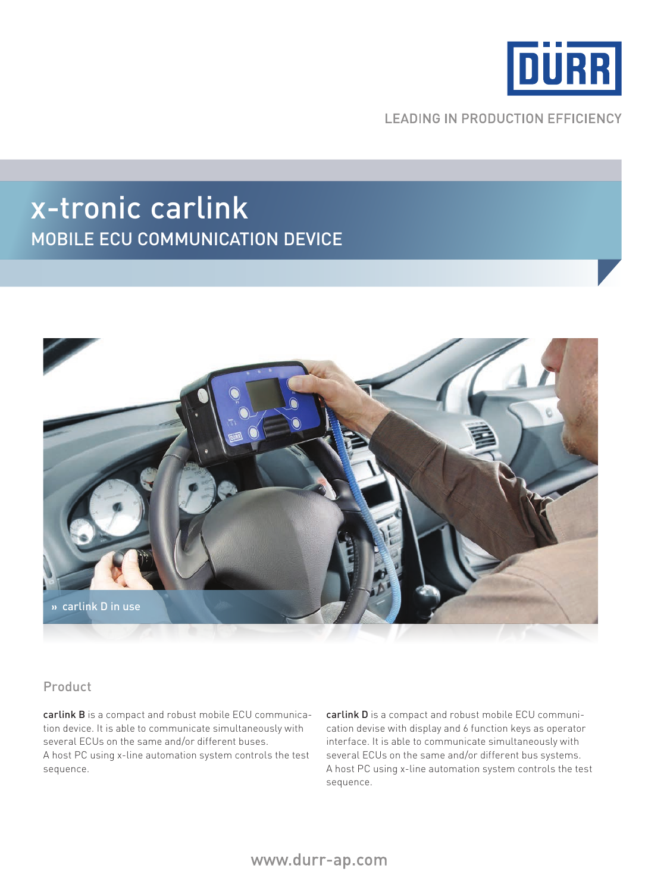

**LEADING IN PRODUCTION EFFICIENCY** 

## x-tronic carlink mobile Ecu communication device



## Product

carlink B is a compact and robust mobile ECU communication device. It is able to communicate simultaneously with several ECUs on the same and/or different buses. A host PC using x-line automation system controls the test sequence.

carlink D is a compact and robust mobile ECU communication devise with display and 6 function keys as operator interface. It is able to communicate simultaneously with several ECUs on the same and/or different bus systems. A host PC using x-line automation system controls the test sequence.